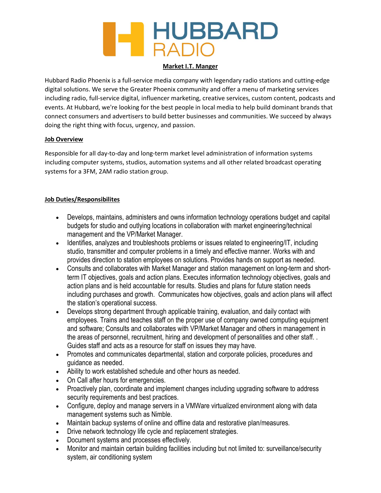# **HUBBARD**<br>RADIO

### Market I.T. Manger

Hubbard Radio Phoenix is a full-service media company with legendary radio stations and cutting-edge digital solutions. We serve the Greater Phoenix community and offer a menu of marketing services including radio, full-service digital, influencer marketing, creative services, custom content, podcasts and events. At Hubbard, we're looking for the best people in local media to help build dominant brands that connect consumers and advertisers to build better businesses and communities. We succeed by always doing the right thing with focus, urgency, and passion.

### Job Overview

Responsible for all day-to-day and long-term market level administration of information systems including computer systems, studios, automation systems and all other related broadcast operating systems for a 3FM, 2AM radio station group.

### Job Duties/Responsibilites

- Develops, maintains, administers and owns information technology operations budget and capital budgets for studio and outlying locations in collaboration with market engineering/technical management and the VP/Market Manager.
- Identifies, analyzes and troubleshoots problems or issues related to engineering/IT, including studio, transmitter and computer problems in a timely and effective manner. Works with and provides direction to station employees on solutions. Provides hands on support as needed.
- Consults and collaborates with Market Manager and station management on long-term and shortterm IT objectives, goals and action plans. Executes information technology objectives, goals and action plans and is held accountable for results. Studies and plans for future station needs including purchases and growth. Communicates how objectives, goals and action plans will affect the station's operational success.
- Develops strong department through applicable training, evaluation, and daily contact with employees. Trains and teaches staff on the proper use of company owned computing equipment and software; Consults and collaborates with VP/Market Manager and others in management in the areas of personnel, recruitment, hiring and development of personalities and other staff. . Guides staff and acts as a resource for staff on issues they may have.
- Promotes and communicates departmental, station and corporate policies, procedures and guidance as needed.
- Ability to work established schedule and other hours as needed.
- On Call after hours for emergencies.
- Proactively plan, coordinate and implement changes including upgrading software to address security requirements and best practices.
- Configure, deploy and manage servers in a VMWare virtualized environment along with data management systems such as Nimble.
- Maintain backup systems of online and offline data and restorative plan/measures.
- Drive network technology life cycle and replacement strategies.
- Document systems and processes effectively.
- Monitor and maintain certain building facilities including but not limited to: surveillance/security system, air conditioning system